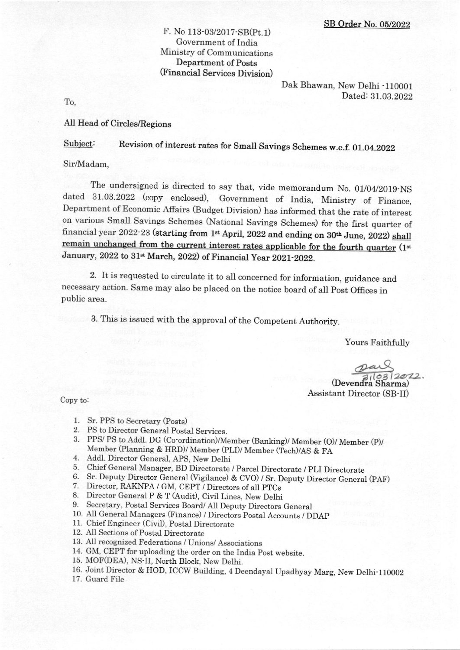### F. No 113-03/2017-SB(Pt.1) Government of India Ministry of Communications Department of Posts (Financial Services Division)

Dak Bhawan, New Delhi -110001  $\Gamma$ o, Dated: 31.03.2022

#### All Head of Circles/Regions

Subject: Revision of interest rates for Small Savings Schemes w.e.f. 01.04.2022

Sir,Madam,

The undersigned is directed to say that, vide memorandum No. 01/04/2019-NS dated 31.03.2022 (copy enclosed), Government of India, Ministry of Finance, Department of Economic Affairs (Budget Division) has informed that the rate of interest on various Small Savings Schemes (National Savings Schemes) for the first quarter of financial year 2022-23 (starting from 1<sup>st</sup> April, 2022 and ending on 30<sup>th</sup> June, 2022) shall t interest rates applicable for the fourth quarter (1st January, 2022 to 31<sup>st</sup> March, 2022) of Financial Year 2021-2022.

2. It is requested to circulate it to all concerned for information, guidance and necessary action. Same may also be placed on the notice board of all Post Offices in public area.

3. This is issued with the approval of the Competent Authority.

Yours Faithfully

 $(Devendra$ <sup>1(03)</sup>2022

Assistant Director (SB-II)

Copy to:

- 1. Sr. PPS to Secretary (Posts)
- 
- 2. PS to Director General Postal Services.<br>3. PPS/ PS to Addl. DG (Co-ordination)/Member (Banking)/ Member (O)/ Member (P)/ Member (Planning & HRD)/ Member (PLI)/ Member (Tech)/AS & FA<br>4. Addl. Director General, APS, New Delhi<br>5. Chief General Manager, BD Directorate / Parcel Directorate / PLI Directorate
- 
- 
- 5. Sr. Deputy Director General (Vigilance) & CVO) / Sr. Deputy Director General (PAF) 7. Director, RAKNPA / GM, CEPT / Directors of all PTCs 8. Director General P & T (Audit), Civil Lines, New Delhi
- 
- 
- 9. Secretary, Postal Services Board/ All Deputy Directors General
- 10. All General Managers (Finance) / Directors postal Accounts / DDAp
- 11. Chief Engineer (Civi]), Postal Directorate
- 12. All Sections of Postal Directorate
- 13. All recognized Federations / Unions/ Associations
- 14. GM, CEPT for uploading the order on the India Post website.
- 15. MOF(DEA), NS-II, North Block, New Delhi.
- 16. Joint Director & HOD, ICCW Building,4 Deendayal Upadhyay Marg, New Delhi-110002
- 17. Guard File